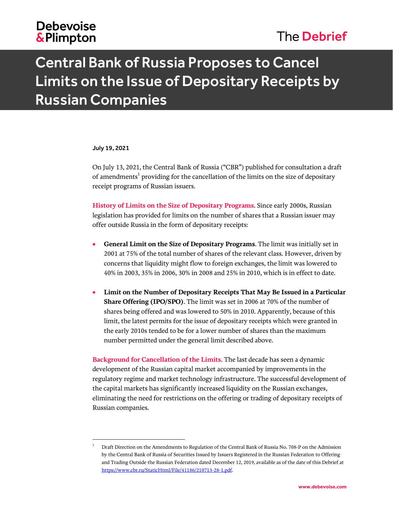## **Debevoise &Plimpton**

## The Debrief

# Central Bank of Russia Proposes to Cancel Limits on the Issue of Depositary Receipts by Russian Companies

#### July 19, 2021

l

On July 13, 2021, the Central Bank of Russia ("CBR") published for consultation a draft of amendments $^{\rm 1}$  providing for the cancellation of the limits on the size of depositary receipt programs of Russian issuers.

**History of Limits on the Size of Depositary Programs**. Since early 2000s, Russian legislation has provided for limits on the number of shares that a Russian issuer may offer outside Russia in the form of depositary receipts:

- **General Limit on the Size of Depositary Programs**. The limit was initially set in 2001 at 75% of the total number of shares of the relevant class. However, driven by concerns that liquidity might flow to foreign exchanges, the limit was lowered to 40% in 2003, 35% in 2006, 30% in 2008 and 25% in 2010, which is in effect to date.
- **Limit on the Number of Depositary Receipts That May Be Issued in a Particular Share Offering (IPO/SPO)**. The limit was set in 2006 at 70% of the number of shares being offered and was lowered to 50% in 2010. Apparently, because of this limit, the latest permits for the issue of depositary receipts which were granted in the early 2010s tended to be for a lower number of shares than the maximum number permitted under the general limit described above.

**Background for Cancellation of the Limits**. The last decade has seen a dynamic development of the Russian capital market accompanied by improvements in the regulatory regime and market technology infrastructure. The successful development of the capital markets has significantly increased liquidity on the Russian exchanges, eliminating the need for restrictions on the offering or trading of depositary receipts of Russian companies.

<sup>1</sup> Draft Direction on the Amendments to Regulation of the Central Bank of Russia No. 708-P on the Admission by the Central Bank of Russia of Securities Issued by Issuers Registered in the Russian Federation to Offering and Trading Outside the Russian Federation dated December 12, 2019, available as of the date of this Debrief at [https://www.cbr.ru/StaticHtml/File/41186/210713-28-1.pdf.](https://www.cbr.ru/StaticHtml/File/41186/210713-28-1.pdf)